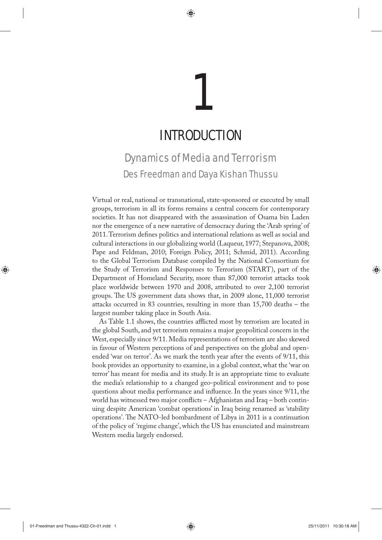# INTRODUCTION 1

♠

## Dynamics of Media and Terrorism Des Freedman and Daya Kishan Thussu

Virtual or real, national or transnational, state-sponsored or executed by small groups, terrorism in all its forms remains a central concern for contemporary societies. It has not disappeared with the assassination of Osama bin Laden nor the emergence of a new narrative of democracy during the 'Arab spring' of 2011. Terrorism defines politics and international relations as well as social and cultural interactions in our globalizing world (Laqueur, 1977; Stepanova, 2008; Pape and Feldman, 2010; Foreign Policy, 2011; Schmid, 2011). According to the Global Terrorism Database compiled by the National Consortium for the Study of Terrorism and Responses to Terrorism (START), part of the Department of Homeland Security, more than 87,000 terrorist attacks took place worldwide between 1970 and 2008, attributed to over 2,100 terrorist groups. The US government data shows that, in 2009 alone, 11,000 terrorist attacks occurred in 83 countries, resulting in more than 15,700 deaths – the largest number taking place in South Asia.

As Table 1.1 shows, the countries afflicted most by terrorism are located in the global South, and yet terrorism remains a major geopolitical concern in the West, especially since 9/11. Media representations of terrorism are also skewed in favour of Western perceptions of and perspectives on the global and openended 'war on terror'. As we mark the tenth year after the events of 9/11, this book provides an opportunity to examine, in a global context, what the 'war on terror' has meant for media and its study. It is an appropriate time to evaluate the media's relationship to a changed geo-political environment and to pose questions about media performance and influence. In the years since 9/11, the world has witnessed two major conflicts – Afghanistan and Iraq – both continuing despite American 'combat operations' in Iraq being renamed as 'stability operations'. The NATO-led bombardment of Libya in 2011 is a continuation of the policy of 'regime change', which the US has enunciated and mainstream Western media largely endorsed.

◈

⊕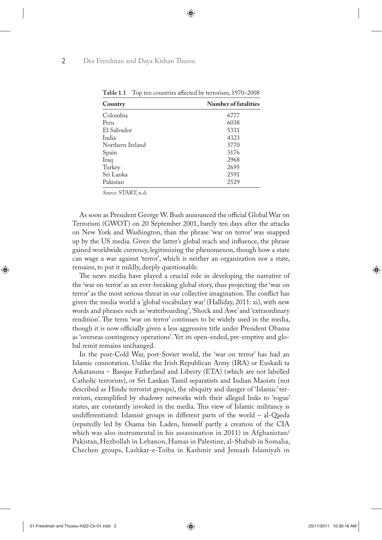| $\frac{1}{2}$ and $\frac{1}{2}$ are $\frac{1}{2}$ . The contribution of the contribution of $\frac{1}{2}$ and $\frac{1}{2}$ are $\frac{1}{2}$ and $\frac{1}{2}$ are $\frac{1}{2}$ and $\frac{1}{2}$ are $\frac{1}{2}$ and $\frac{1}{2}$ are $\frac{1}{2}$ and $\frac{1}{2}$ are |                             |
|---------------------------------------------------------------------------------------------------------------------------------------------------------------------------------------------------------------------------------------------------------------------------------|-----------------------------|
| Country                                                                                                                                                                                                                                                                         | <b>Number of fatalities</b> |
| Colombia                                                                                                                                                                                                                                                                        | 6777                        |
| Peru                                                                                                                                                                                                                                                                            | 6038                        |
| El Salvador                                                                                                                                                                                                                                                                     | 5331                        |
| India                                                                                                                                                                                                                                                                           | 4323                        |
| Northern Ireland                                                                                                                                                                                                                                                                | 3770                        |
| Spain                                                                                                                                                                                                                                                                           | 3176                        |
| Iraq                                                                                                                                                                                                                                                                            | 2968                        |
| Turkey                                                                                                                                                                                                                                                                          | 2695                        |
| Sri Lanka                                                                                                                                                                                                                                                                       | 2591                        |
| Pakistan                                                                                                                                                                                                                                                                        | 2529                        |

**Table 1.1** Top ten countries affected by terrorism, 1970–2008

◈

*Source*: START, n.d.

As soon as President George W. Bush announced the official Global War on Terrorism (GWOT) on 20 September 2001, barely ten days after the attacks on New York and Washington, than the phrase 'war on terror' was snapped up by the US media. Given the latter's global reach and influence, the phrase gained worldwide currency, legitimizing the phenomenon, though how a state can wage a war against 'terror', which is neither an organization nor a state, remains, to put it mildly, deeply questionable.

The news media have played a crucial role in developing the narrative of the 'war on terror' as an ever-breaking global story, thus projecting the 'war on terror' as the most serious threat in our collective imagination. The conflict has given the media world a 'global vocabulary war' (Halliday, 2011: xi), with new words and phrases such as 'waterboarding', 'Shock and Awe' and 'extraordinary rendition'. The term 'war on terror' continues to be widely used in the media, though it is now officially given a less aggressive title under President Obama as 'overseas contingency operations'. Yet its open-ended, pre-emptive and global remit remains unchanged.

In the post-Cold War, post-Soviet world, the 'war on terror' has had an Islamic connotation. Unlike the Irish Republican Army (IRA) or Euskadi ta Askatasuna – Basque Fatherland and Liberty (ETA) (which are not labelled Catholic terrorists), or Sri Lankan Tamil separatists and Indian Maoists (not described as Hindu terrorist groups), the ubiquity and danger of 'Islamic' terrorism, exemplified by shadowy networks with their alleged links to 'rogue' states, are constantly invoked in the media. This view of Islamic militancy is undifferentiated: Islamist groups in different parts of the world – al-Qaeda (reputedly led by Osama bin Laden, himself partly a creation of the CIA which was also instrumental in his assassination in 2011) in Afghanistan/ Pakistan, Hezbollah in Lebanon, Hamas in Palestine, al-Shabab in Somalia, Chechen groups, Lashkar-e-Toiba in Kashmir and Jemaah Islamiyah in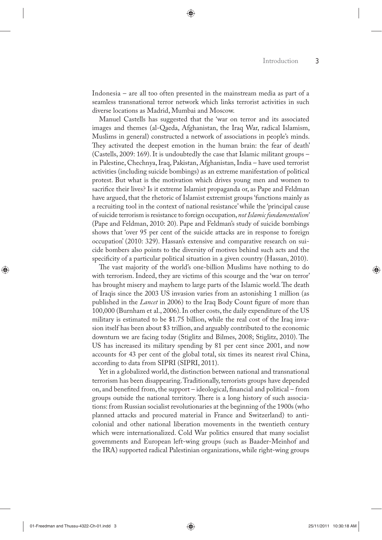Indonesia – are all too often presented in the mainstream media as part of a seamless transnational terror network which links terrorist activities in such diverse locations as Madrid, Mumbai and Moscow.

Manuel Castells has suggested that the 'war on terror and its associated images and themes (al-Qaeda, Afghanistan, the Iraq War, radical Islamism, Muslims in general) constructed a network of associations in people's minds. They activated the deepest emotion in the human brain: the fear of death' (Castells, 2009: 169). It is undoubtedly the case that Islamic militant groups – in Palestine, Chechnya, Iraq, Pakistan, Afghanistan, India – have used terrorist activities (including suicide bombings) as an extreme manifestation of political protest. But what is the motivation which drives young men and women to sacrifice their lives? Is it extreme Islamist propaganda or, as Pape and Feldman have argued, that the rhetoric of Islamist extremist groups 'functions mainly as a recruiting tool in the context of national resistance' while the 'principal cause of suicide terrorism is resistance to foreign occupation, *not Islamic fundamentalism'* (Pape and Feldman, 2010: 20). Pape and Feldman's study of suicide bombings shows that 'over 95 per cent of the suicide attacks are in response to foreign occupation' (2010: 329). Hassan's extensive and comparative research on suicide bombers also points to the diversity of motives behind such acts and the specificity of a particular political situation in a given country (Hassan, 2010).

The vast majority of the world's one-billion Muslims have nothing to do with terrorism. Indeed, they are victims of this scourge and the 'war on terror' has brought misery and mayhem to large parts of the Islamic world. The death of Iraqis since the 2003 US invasion varies from an astonishing 1 million (as published in the *Lancet* in 2006) to the Iraq Body Count figure of more than 100,000 (Burnham et al., 2006). In other costs, the daily expenditure of the US military is estimated to be \$1.75 billion, while the real cost of the Iraq invasion itself has been about \$3 trillion, and arguably contributed to the economic downturn we are facing today (Stiglitz and Bilmes, 2008; Stiglitz, 2010). The US has increased its military spending by 81 per cent since 2001, and now accounts for 43 per cent of the global total, six times its nearest rival China, according to data from SIPRI (SIPRI, 2011).

Yet in a globalized world, the distinction between national and transnational terrorism has been disappearing. Traditionally, terrorists groups have depended on, and benefited from, the support – ideological, financial and political – from groups outside the national territory. There is a long history of such associations: from Russian socialist revolutionaries at the beginning of the 1900s (who planned attacks and procured material in France and Switzerland) to anticolonial and other national liberation movements in the twentieth century which were internationalized. Cold War politics ensured that many socialist governments and European left-wing groups (such as Baader-Meinhof and the IRA) supported radical Palestinian organizations, while right-wing groups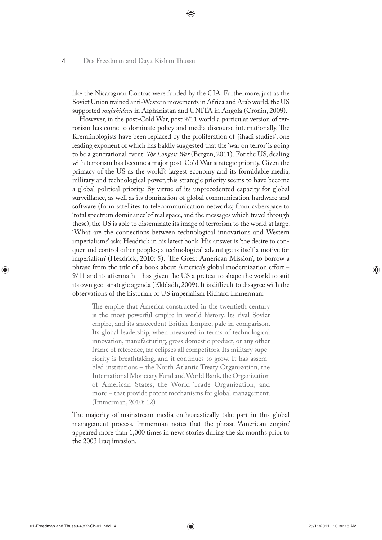like the Nicaraguan Contras were funded by the CIA. Furthermore, just as the Soviet Union trained anti-Western movements in Africa and Arab world, the US supported *mujahideen* in Afghanistan and UNITA in Angola (Cronin, 2009).

⊕

However, in the post-Cold War, post 9/11 world a particular version of terrorism has come to dominate policy and media discourse internationally. The Kremlinologists have been replaced by the proliferation of 'jihadi studies', one leading exponent of which has baldly suggested that the 'war on terror' is going to be a generational event: *The Longest War* (Bergen, 2011). For the US, dealing with terrorism has become a major post-Cold War strategic priority. Given the primacy of the US as the world's largest economy and its formidable media, military and technological power, this strategic priority seems to have become a global political priority. By virtue of its unprecedented capacity for global surveillance, as well as its domination of global communication hardware and software (from satellites to telecommunication networks; from cyberspace to 'total spectrum dominance' of real space, and the messages which travel through these), the US is able to disseminate its image of terrorism to the world at large. 'What are the connections between technological innovations and Western imperialism?' asks Headrick in his latest book. His answer is 'the desire to conquer and control other peoples; a technological advantage is itself a motive for imperialism' (Headrick, 2010: 5). 'The Great American Mission', to borrow a phrase from the title of a book about America's global modernization effort – 9/11 and its aftermath – has given the US a pretext to shape the world to suit its own geo-strategic agenda (Ekbladh, 2009). It is difficult to disagree with the observations of the historian of US imperialism Richard Immerman:

The empire that America constructed in the twentieth century is the most powerful empire in world history. Its rival Soviet empire, and its antecedent British Empire, pale in comparison. Its global leadership, when measured in terms of technological innovation, manufacturing, gross domestic product, or any other frame of reference, far eclipses all competitors. Its military superiority is breathtaking, and it continues to grow. It has assembled institutions – the North Atlantic Treaty Organization, the International Monetary Fund and World Bank, the Organization of American States, the World Trade Organization, and more – that provide potent mechanisms for global management. (Immerman, 2010: 12)

The majority of mainstream media enthusiastically take part in this global management process. Immerman notes that the phrase 'American empire' appeared more than 1,000 times in news stories during the six months prior to the 2003 Iraq invasion.

01-Freedman and Thussu-4322-Ch-01.indd 4 25/11/2011 10:30:18 AM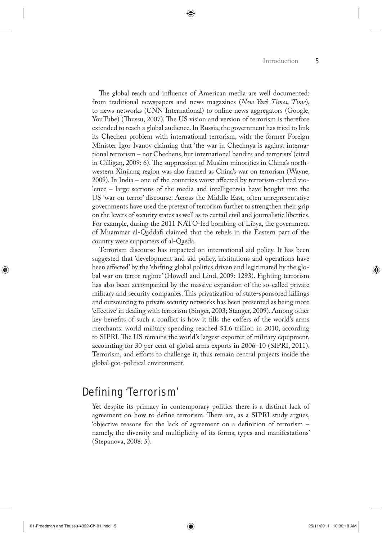The global reach and influence of American media are well documented: from traditional newspapers and news magazines (*New York Times*, *Time*), to news networks (CNN International) to online news aggregators (Google, YouTube) (Thussu, 2007). The US vision and version of terrorism is therefore extended to reach a global audience. In Russia, the government has tried to link its Chechen problem with international terrorism, with the former Foreign Minister Igor Ivanov claiming that 'the war in Chechnya is against international terrorism – not Chechens, but international bandits and terrorists' (cited in Gilligan, 2009: 6). The suppression of Muslim minorities in China's northwestern Xinjiang region was also framed as China's war on terrorism (Wayne, 2009). In India – one of the countries worst affected by terrorism-related violence – large sections of the media and intelligentsia have bought into the US 'war on terror' discourse. Across the Middle East, often unrepresentative governments have used the pretext of terrorism further to strengthen their grip on the levers of security states as well as to curtail civil and journalistic liberties. For example, during the 2011 NATO-led bombing of Libya, the government of Muammar al-Qaddafi claimed that the rebels in the Eastern part of the country were supporters of al-Qaeda.

⊕

Terrorism discourse has impacted on international aid policy. It has been suggested that 'development and aid policy, institutions and operations have been affected' by the 'shifting global politics driven and legitimated by the global war on terror regime' (Howell and Lind, 2009: 1293). Fighting terrorism has also been accompanied by the massive expansion of the so-called private military and security companies. This privatization of state-sponsored killings and outsourcing to private security networks has been presented as being more 'effective' in dealing with terrorism (Singer, 2003; Stanger, 2009). Among other key benefits of such a conflict is how it fills the coffers of the world's arms merchants: world military spending reached \$1.6 trillion in 2010, according to SIPRI. The US remains the world's largest exporter of military equipment, accounting for 30 per cent of global arms exports in 2006–10 (SIPRI, 2011). Terrorism, and efforts to challenge it, thus remain central projects inside the global geo-political environment.

## Defining 'Terrorism'

Yet despite its primacy in contemporary politics there is a distinct lack of agreement on how to define terrorism. There are, as a SIPRI study argues, 'objective reasons for the lack of agreement on a definition of terrorism – namely, the diversity and multiplicity of its forms, types and manifestations' (Stepanova, 2008: 5).

◈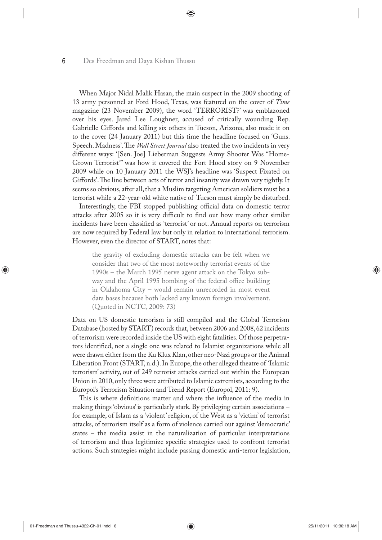When Major Nidal Malik Hasan, the main suspect in the 2009 shooting of 13 army personnel at Ford Hood, Texas, was featured on the cover of *Time* magazine (23 November 2009), the word 'TERRORIST?' was emblazoned over his eyes. Jared Lee Loughner, accused of critically wounding Rep. Gabrielle Giffords and killing six others in Tucson, Arizona, also made it on to the cover (24 January 2011) but this time the headline focused on 'Guns. Speech. Madness'. The *Wall Street Journal* also treated the two incidents in very different ways: '[Sen. Joe] Lieberman Suggests Army Shooter Was "Home-Grown Terrorist"' was how it covered the Fort Hood story on 9 November 2009 while on 10 January 2011 the WSJ's headline was 'Suspect Fixated on Giffords'. The line between acts of terror and insanity was drawn very tightly. It seems so obvious, after all, that a Muslim targeting American soldiers must be a terrorist while a 22-year-old white native of Tucson must simply be disturbed.

⊕

Interestingly, the FBI stopped publishing official data on domestic terror attacks after 2005 so it is very difficult to find out how many other similar incidents have been classified as 'terrorist' or not. Annual reports on terrorism are now required by Federal law but only in relation to international terrorism. However, even the director of START, notes that:

the gravity of excluding domestic attacks can be felt when we consider that two of the most noteworthy terrorist events of the 1990s – the March 1995 nerve agent attack on the Tokyo subway and the April 1995 bombing of the federal office building in Oklahoma City – would remain unrecorded in most event data bases because both lacked any known foreign involvement. (Quoted in NCTC, 2009: 73)

Data on US domestic terrorism is still compiled and the Global Terrorism Database (hosted by START) records that, between 2006 and 2008, 62 incidents of terrorism were recorded inside the US with eight fatalities. Of those perpetrators identified, not a single one was related to Islamist organizations while all were drawn either from the Ku Klux Klan, other neo-Nazi groups or the Animal Liberation Front (START, n.d.). In Europe, the other alleged theatre of 'Islamic terrorism' activity, out of 249 terrorist attacks carried out within the European Union in 2010, only three were attributed to Islamic extremists, according to the Europol's Terrorism Situation and Trend Report (Europol, 2011: 9).

This is where definitions matter and where the influence of the media in making things 'obvious' is particularly stark. By privileging certain associations – for example, of Islam as a 'violent' religion, of the West as a 'victim' of terrorist attacks, of terrorism itself as a form of violence carried out against 'democratic' states – the media assist in the naturalization of particular interpretations of terrorism and thus legitimize specific strategies used to confront terrorist actions. Such strategies might include passing domestic anti-terror legislation,

01-Freedman and Thussu-4322-Ch-01.indd 6 25/11/2011 10:30:18 AM

◈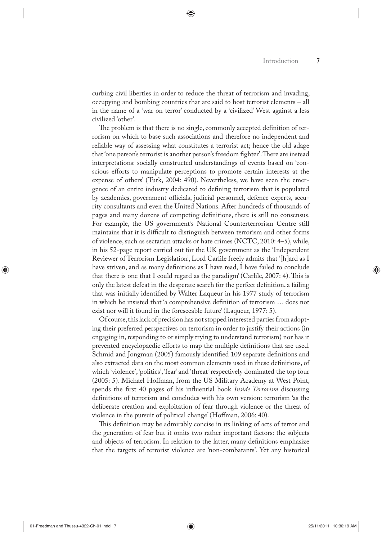curbing civil liberties in order to reduce the threat of terrorism and invading, occupying and bombing countries that are said to host terrorist elements – all in the name of a 'war on terror' conducted by a 'civilized' West against a less civilized 'other'.

The problem is that there is no single, commonly accepted definition of terrorism on which to base such associations and therefore no independent and reliable way of assessing what constitutes a terrorist act; hence the old adage that 'one person's terrorist is another person's freedom fighter'. There are instead interpretations: socially constructed understandings of events based on 'conscious efforts to manipulate perceptions to promote certain interests at the expense of others' (Turk, 2004: 490). Nevertheless, we have seen the emergence of an entire industry dedicated to defining terrorism that is populated by academics, government officials, judicial personnel, defence experts, security consultants and even the United Nations. After hundreds of thousands of pages and many dozens of competing definitions, there is still no consensus. For example, the US government's National Counterterrorism Centre still maintains that it is difficult to distinguish between terrorism and other forms of violence, such as sectarian attacks or hate crimes (NCTC, 2010: 4–5), while, in his 52-page report carried out for the UK government as the 'Independent Reviewer of Terrorism Legislation', Lord Carlile freely admits that '[h]ard as I have striven, and as many definitions as I have read, I have failed to conclude that there is one that I could regard as the paradigm' (Carlile, 2007: 4). This is only the latest defeat in the desperate search for the perfect definition, a failing that was initially identified by Walter Laqueur in his 1977 study of terrorism in which he insisted that 'a comprehensive definition of terrorism … does not exist nor will it found in the foreseeable future' (Laqueur, 1977: 5).

Of course, this lack of precision has not stopped interested parties from adopting their preferred perspectives on terrorism in order to justify their actions (in engaging in, responding to or simply trying to understand terrorism) nor has it prevented encyclopaedic efforts to map the multiple definitions that are used. Schmid and Jongman (2005) famously identified 109 separate definitions and also extracted data on the most common elements used in these definitions, of which 'violence', 'politics', 'fear' and 'threat' respectively dominated the top four (2005: 5). Michael Hoffman, from the US Military Academy at West Point, spends the first 40 pages of his influential book *Inside Terrorism* discussing definitions of terrorism and concludes with his own version: terrorism 'as the deliberate creation and exploitation of fear through violence or the threat of violence in the pursuit of political change' (Hoffman, 2006: 40).

This definition may be admirably concise in its linking of acts of terror and the generation of fear but it omits two rather important factors: the subjects and objects of terrorism. In relation to the latter, many definitions emphasize that the targets of terrorist violence are 'non-combatants'. Yet any historical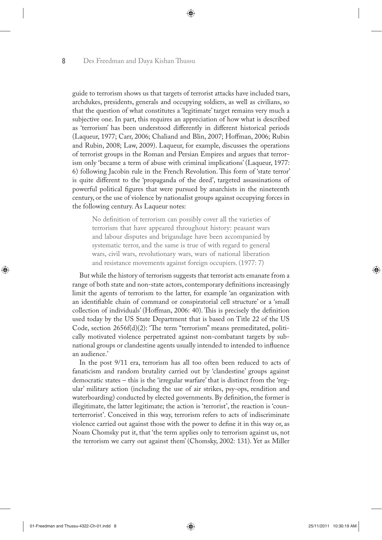guide to terrorism shows us that targets of terrorist attacks have included tsars, archdukes, presidents, generals and occupying soldiers, as well as civilians, so that the question of what constitutes a 'legitimate' target remains very much a subjective one. In part, this requires an appreciation of how what is described as 'terrorism' has been understood differently in different historical periods (Laqueur, 1977; Carr, 2006; Chaliand and Blin, 2007; Hoffman, 2006; Rubin and Rubin, 2008; Law, 2009). Laqueur, for example, discusses the operations of terrorist groups in the Roman and Persian Empires and argues that terrorism only 'became a term of abuse with criminal implications' (Laqueur, 1977: 6) following Jacobin rule in the French Revolution. This form of 'state terror' is quite different to the 'propaganda of the deed', targeted assassinations of powerful political figures that were pursued by anarchists in the nineteenth century, or the use of violence by nationalist groups against occupying forces in the following century. As Laqueur notes:

◈

No definition of terrorism can possibly cover all the varieties of terrorism that have appeared throughout history: peasant wars and labour disputes and brigandage have been accompanied by systematic terror, and the same is true of with regard to general wars, civil wars, revolutionary wars, wars of national liberation and resistance movements against foreign occupiers. (1977: 7)

But while the history of terrorism suggests that terrorist acts emanate from a range of both state and non-state actors, contemporary definitions increasingly limit the agents of terrorism to the latter, for example 'an organization with an identifiable chain of command or conspiratorial cell structure' or a 'small collection of individuals' (Hoffman, 2006: 40). This is precisely the definition used today by the US State Department that is based on Title 22 of the US Code, section 2656f(d)(2): 'The term "terrorism" means premeditated, politically motivated violence perpetrated against non-combatant targets by subnational groups or clandestine agents usually intended to intended to influence an audience.'

In the post 9/11 era, terrorism has all too often been reduced to acts of fanaticism and random brutality carried out by 'clandestine' groups against democratic states – this is the 'irregular warfare' that is distinct from the 'regular' military action (including the use of air strikes, psy-ops, rendition and waterboarding) conducted by elected governments. By definition, the former is illegitimate, the latter legitimate; the action is 'terrorist', the reaction is 'counterterrorist'. Conceived in this way, terrorism refers to acts of indiscriminate violence carried out against those with the power to define it in this way or, as Noam Chomsky put it, that 'the term applies only to terrorism against us, not the terrorism we carry out against them' (Chomsky, 2002: 131). Yet as Miller

01-Freedman and Thussu-4322-Ch-01.indd 8 25/11/2011 10:30:19 AM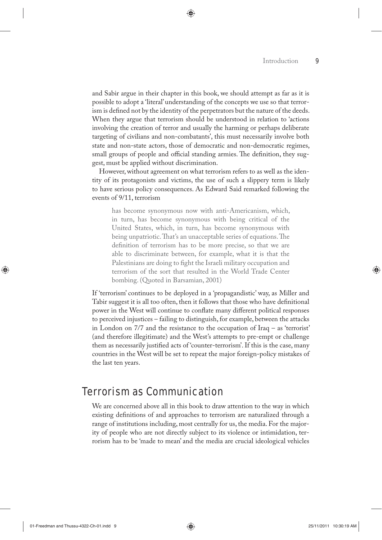and Sabir argue in their chapter in this book, we should attempt as far as it is possible to adopt a 'literal' understanding of the concepts we use so that terrorism is defined not by the identity of the perpetrators but the nature of the deeds. When they argue that terrorism should be understood in relation to 'actions involving the creation of terror and usually the harming or perhaps deliberate targeting of civilians and non-combatants', this must necessarily involve both state and non-state actors, those of democratic and non-democratic regimes, small groups of people and official standing armies. The definition, they suggest, must be applied without discrimination.

However, without agreement on what terrorism refers to as well as the identity of its protagonists and victims, the use of such a slippery term is likely to have serious policy consequences. As Edward Said remarked following the events of 9/11, terrorism

has become synonymous now with anti-Americanism, which, in turn, has become synonymous with being critical of the United States, which, in turn, has become synonymous with being unpatriotic. That's an unacceptable series of equations. The definition of terrorism has to be more precise, so that we are able to discriminate between, for example, what it is that the Palestinians are doing to fight the Israeli military occupation and terrorism of the sort that resulted in the World Trade Center bombing. (Quoted in Barsamian, 2001)

If 'terrorism' continues to be deployed in a 'propagandistic' way, as Miller and Tabir suggest it is all too often, then it follows that those who have definitional power in the West will continue to conflate many different political responses to perceived injustices – failing to distinguish, for example, between the attacks in London on 7/7 and the resistance to the occupation of Iraq – as 'terrorist' (and therefore illegitimate) and the West's attempts to pre-empt or challenge them as necessarily justified acts of 'counter-terrorism'. If this is the case, many countries in the West will be set to repeat the major foreign-policy mistakes of the last ten years.

## Terrorism as Communication

We are concerned above all in this book to draw attention to the way in which existing definitions of and approaches to terrorism are naturalized through a range of institutions including, most centrally for us, the media. For the majority of people who are not directly subject to its violence or intimidation, terrorism has to be 'made to mean' and the media are crucial ideological vehicles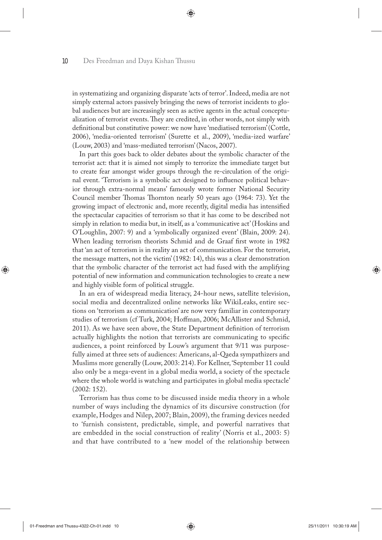in systematizing and organizing disparate 'acts of terror'. Indeed, media are not simply external actors passively bringing the news of terrorist incidents to global audiences but are increasingly seen as active agents in the actual conceptualization of terrorist events. They are credited, in other words, not simply with definitional but constitutive power: we now have 'mediatised terrorism' (Cottle, 2006), 'media-oriented terrorism' (Surette et al., 2009), 'media-ized warfare' (Louw, 2003) and 'mass-mediated terrorism' (Nacos, 2007).

⊕

In part this goes back to older debates about the symbolic character of the terrorist act: that it is aimed not simply to terrorize the immediate target but to create fear amongst wider groups through the re-circulation of the original event. 'Terrorism is a symbolic act designed to influence political behavior through extra-normal means' famously wrote former National Security Council member Thomas Thornton nearly 50 years ago (1964: 73). Yet the growing impact of electronic and, more recently, digital media has intensified the spectacular capacities of terrorism so that it has come to be described not simply in relation to media but, in itself, as a 'communicative act' (Hoskins and O'Loughlin, 2007: 9) and a 'symbolically organized event' (Blain, 2009: 24). When leading terrorism theorists Schmid and de Graaf first wrote in 1982 that 'an act of terrorism is in reality an act of communication. For the terrorist, the message matters, not the victim' (1982: 14), this was a clear demonstration that the symbolic character of the terrorist act had fused with the amplifying potential of new information and communication technologies to create a new and highly visible form of political struggle.

In an era of widespread media literacy, 24-hour news, satellite television, social media and decentralized online networks like WikiLeaks, entire sections on 'terrorism as communication' are now very familiar in contemporary studies of terrorism (cf Turk, 2004; Hoffman, 2006; McAllister and Schmid, 2011). As we have seen above, the State Department definition of terrorism actually highlights the notion that terrorists are communicating to specific audiences, a point reinforced by Louw's argument that 9/11 was purposefully aimed at three sets of audiences: Americans, al-Qaeda sympathizers and Muslims more generally (Louw, 2003: 214). For Kellner, 'September 11 could also only be a mega-event in a global media world, a society of the spectacle where the whole world is watching and participates in global media spectacle' (2002: 152).

Terrorism has thus come to be discussed inside media theory in a whole number of ways including the dynamics of its discursive construction (for example, Hodges and Nilep, 2007; Blain, 2009), the framing devices needed to 'furnish consistent, predictable, simple, and powerful narratives that are embedded in the social construction of reality' (Norris et al., 2003: 5) and that have contributed to a 'new model of the relationship between

01-Freedman and Thussu-4322-Ch-01.indd 10  $\overline{\bigoplus}$  25/11/2011 10:30:19 AM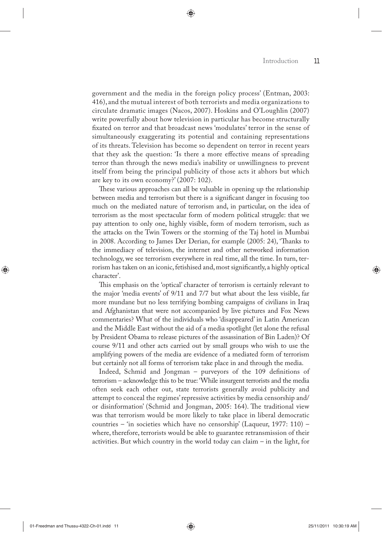government and the media in the foreign policy process' (Entman, 2003: 416), and the mutual interest of both terrorists and media organizations to circulate dramatic images (Nacos, 2007). Hoskins and O'Loughlin (2007) write powerfully about how television in particular has become structurally fixated on terror and that broadcast news 'modulates' terror in the sense of simultaneously exaggerating its potential and containing representations of its threats. Television has become so dependent on terror in recent years that they ask the question: 'Is there a more effective means of spreading terror than through the news media's inability or unwillingness to prevent itself from being the principal publicity of those acts it abhors but which are key to its own economy?' (2007: 102).

◈

These various approaches can all be valuable in opening up the relationship between media and terrorism but there is a significant danger in focusing too much on the mediated nature of terrorism and, in particular, on the idea of terrorism as the most spectacular form of modern political struggle: that we pay attention to only one, highly visible, form of modern terrorism, such as the attacks on the Twin Towers or the storming of the Taj hotel in Mumbai in 2008. According to James Der Derian, for example (2005: 24), 'Thanks to the immediacy of television, the internet and other networked information technology, we see terrorism everywhere in real time, all the time. In turn, terrorism has taken on an iconic, fetishised and, most significantly, a highly optical character'.

This emphasis on the 'optical' character of terrorism is certainly relevant to the major 'media events' of 9/11 and 7/7 but what about the less visible, far more mundane but no less terrifying bombing campaigns of civilians in Iraq and Afghanistan that were not accompanied by live pictures and Fox News commentaries? What of the individuals who 'disappeared' in Latin American and the Middle East without the aid of a media spotlight (let alone the refusal by President Obama to release pictures of the assassination of Bin Laden)? Of course 9/11 and other acts carried out by small groups who wish to use the amplifying powers of the media are evidence of a mediated form of terrorism but certainly not all forms of terrorism take place in and through the media.

Indeed, Schmid and Jongman – purveyors of the 109 definitions of terrorism – acknowledge this to be true: 'While insurgent terrorists and the media often seek each other out, state terrorists generally avoid publicity and attempt to conceal the regimes' repressive activities by media censorship and/ or disinformation' (Schmid and Jongman, 2005: 164). The traditional view was that terrorism would be more likely to take place in liberal democratic countries – 'in societies which have no censorship' (Laqueur, 1977: 110) – where, therefore, terrorists would be able to guarantee retransmission of their activities. But which country in the world today can claim – in the light, for

01-Freedman and Thussu-4322-Ch-01.indd 11 25/11/2011 10:30:19 AM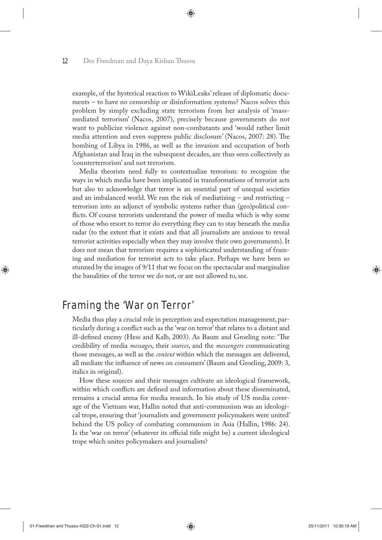example, of the hysterical reaction to WikiLeaks' release of diplomatic documents – to have no censorship or disinformation systems? Nacos solves this problem by simply excluding state terrorism from her analysis of 'massmediated terrorism' (Nacos, 2007), precisely because governments do not want to publicize violence against non-combatants and 'would rather limit media attention and even suppress public disclosure' (Nacos, 2007: 28). The bombing of Libya in 1986, as well as the invasion and occupation of both Afghanistan and Iraq in the subsequent decades, are thus seen collectively as 'counterterrorism' and not terrorism.

◈

Media theorists need fully to contextualize terrorism: to recognize the ways in which media have been implicated in transformations of terrorist acts but also to acknowledge that terror is an essential part of unequal societies and an imbalanced world. We run the risk of mediatizing – and restricting – terrorism into an adjunct of symbolic systems rather than (geo)political conflicts. Of course terrorists understand the power of media which is why some of those who resort to terror do everything they can to stay beneath the media radar (to the extent that it exists and that all journalists are anxious to reveal terrorist activities especially when they may involve their own governments). It does not mean that terrorism requires a sophisticated understanding of framing and mediation for terrorist acts to take place. Perhaps we have been so stunned by the images of 9/11 that we focus on the spectacular and marginalize the banalities of the terror we do not, or are not allowed to, see.

## Framing the 'War on Terror'

Media thus play a crucial role in perception and expectation management, particularly during a conflict such as the 'war on terror' that relates to a distant and ill-defined enemy (Hess and Kalb, 2003). As Baum and Groeling note: 'The credibility of media *messages*, their *sources*, and the *messengers* communicating those messages, as well as the *context* within which the messages are delivered, all mediate the influence of news on consumers' (Baum and Groeling, 2009: 3, italics in original).

How these sources and their messages cultivate an ideological framework, within which conflicts are defined and information about these disseminated, remains a crucial arena for media research. In his study of US media coverage of the Vietnam war, Hallin noted that anti-communism was an ideological trope, ensuring that 'journalists and government policymakers were united' behind the US policy of combating communism in Asia (Hallin, 1986: 24). Is the 'war on terror' (whatever its official title might be) a current ideological trope which unites policymakers and journalists?

01-Freedman and Thussu-4322-Ch-01.indd 12 25/11/2011 10:30:19 AM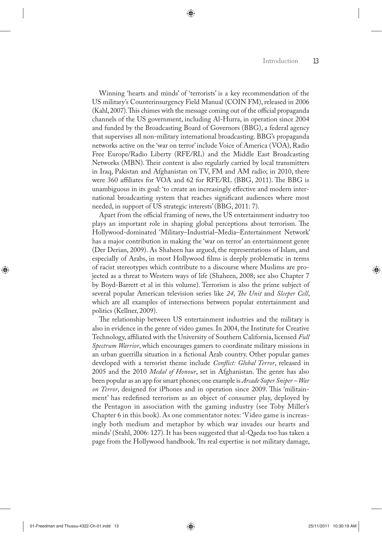Winning 'hearts and minds' of 'terrorists' is a key recommendation of the US military's Counterinsurgency Field Manual (COIN FM), released in 2006 (Kahl, 2007). This chimes with the message coming out of the official propaganda channels of the US government, including Al-Hurra, in operation since 2004 and funded by the Broadcasting Board of Governors (BBG), a federal agency that supervises all non-military international broadcasting. BBG's propaganda networks active on the 'war on terror' include Voice of America (VOA), Radio Free Europe/Radio Liberty (RFE/RL) and the Middle East Broadcasting Networks (MBN). Their content is also regularly carried by local transmitters in Iraq, Pakistan and Afghanistan on TV, FM and AM radio; in 2010, there were 360 affiliates for VOA and 62 for RFE/RL (BBG, 2011). The BBG is unambiguous in its goal: 'to create an increasingly effective and modern international broadcasting system that reaches significant audiences where most needed, in support of US strategic interests' (BBG, 2011: 7).

⊕

Apart from the official framing of news, the US entertainment industry too plays an important role in shaping global perceptions about terrorism. The Hollywood-dominated 'Military–Industrial–Media–Entertainment Network' has a major contribution in making the 'war on terror' an entertainment genre (Der Derian, 2009). As Shaheen has argued, the representations of Islam, and especially of Arabs, in most Hollywood films is deeply problematic in terms of racist stereotypes which contribute to a discourse where Muslims are projected as a threat to Western ways of life (Shaheen, 2008; see also Chapter 7 by Boyd-Barrett et al in this volume). Terrorism is also the prime subject of several popular American television series like *24*, *The Unit* and *Sleeper Cell*, which are all examples of intersections between popular entertainment and politics (Kellner, 2009).

The relationship between US entertainment industries and the military is also in evidence in the genre of video games. In 2004, the Institute for Creative Technology, affiliated with the University of Southern California, licensed *Full Spectrum Warrior*, which encourages gamers to coordinate military missions in an urban guerrilla situation in a fictional Arab country. Other popular games developed with a terrorist theme include *Conflict: Global Terror*, released in 2005 and the 2010 *Medal of Honour*, set in Afghanistan. The genre has also been popular as an app for smart phones; one example is *Arcade Super Sniper – War on Terror*, designed for iPhones and in operation since 2009. This 'militainment' has redefined terrorism as an object of consumer play, deployed by the Pentagon in association with the gaming industry (see Toby Miller's Chapter 6 in this book). As one commentator notes: 'Video game is increasingly both medium and metaphor by which war invades our hearts and minds' (Stahl, 2006: 127). It has been suggested that al-Qaeda too has taken a page from the Hollywood handbook. 'Its real expertise is not military damage,

◈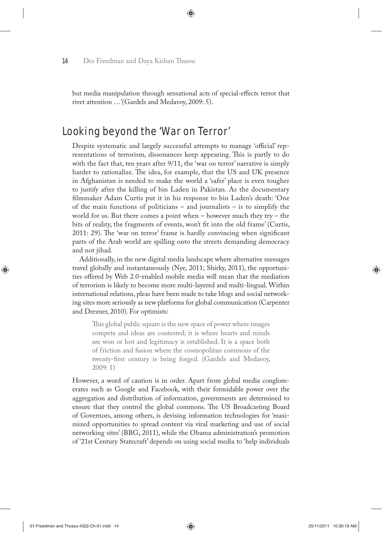but media manipulation through sensational acts of special-effects terror that rivet attention …'(Gardels and Medavoy, 2009: 5).

◈

## Looking beyond the 'War on Terror'

Despite systematic and largely successful attempts to manage 'official' representations of terrorism, dissonances keep appearing. This is partly to do with the fact that, ten years after 9/11, the 'war on terror' narrative is simply harder to rationalize. The idea, for example, that the US and UK presence in Afghanistan is needed to make the world a 'safer' place is even tougher to justify after the killing of bin Laden in Pakistan. As the documentary filmmaker Adam Curtis put it in his response to bin Laden's death: 'One of the main functions of politicians – and journalists – is to simplify the world for us. But there comes a point when  $-$  however much they try  $-$  the bits of reality, the fragments of events, won't fit into the old frame' (Curtis, 2011: 29). The 'war on terror' frame is hardly convincing when significant parts of the Arab world are spilling onto the streets demanding democracy and not jihad.

Additionally, in the new digital media landscape where alternative messages travel globally and instantaneously (Nye, 2011; Shirky, 2011), the opportunities offered by Web 2.0-enabled mobile media will mean that the mediation of terrorism is likely to become more multi-layered and multi-lingual. Within international relations, pleas have been made to take blogs and social networking sites more seriously as new platforms for global communication (Carpenter and Drezner, 2010). For optimists:

This global public square is the new space of power where images compete and ideas are contested; it is where hearts and minds are won or lost and legitimacy is established. It is a space both of friction and fusion where the cosmopolitan commons of the twenty-first century is being forged. (Gardels and Medavoy, 2009: 1)

However, a word of caution is in order. Apart from global media conglomerates such as Google and Facebook, with their formidable power over the aggregation and distribution of information, governments are determined to ensure that they control the global commons. The US Broadcasting Board of Governors, among others, is devising information technologies for 'maximized opportunities to spread content via viral marketing and use of social networking sites' (BBG, 2011), while the Obama administration's promotion of '21st Century Statecraft' depends on using social media to 'help individuals

⊕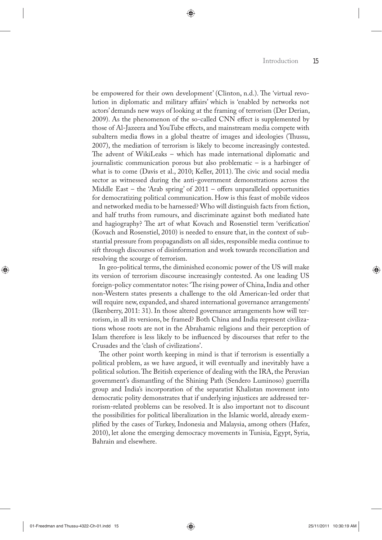be empowered for their own development' (Clinton, n.d.). The 'virtual revolution in diplomatic and military affairs' which is 'enabled by networks not actors' demands new ways of looking at the framing of terrorism (Der Derian, 2009). As the phenomenon of the so-called CNN effect is supplemented by those of Al-Jazeera and YouTube effects, and mainstream media compete with subaltern media flows in a global theatre of images and ideologies (Thussu, 2007), the mediation of terrorism is likely to become increasingly contested. The advent of WikiLeaks – which has made international diplomatic and journalistic communication porous but also problematic – is a harbinger of what is to come (Davis et al., 2010; Keller, 2011). The civic and social media sector as witnessed during the anti-government demonstrations across the Middle East – the 'Arab spring' of 2011 – offers unparalleled opportunities for democratizing political communication. How is this feast of mobile videos and networked media to be harnessed? Who will distinguish facts from fiction, and half truths from rumours, and discriminate against both mediated hate and hagiography? The art of what Kovach and Rosenstiel term 'verification' (Kovach and Rosenstiel, 2010) is needed to ensure that, in the context of substantial pressure from propagandists on all sides, responsible media continue to sift through discourses of disinformation and work towards reconciliation and resolving the scourge of terrorism.

◈

In geo-political terms, the diminished economic power of the US will make its version of terrorism discourse increasingly contested. As one leading US foreign-policy commentator notes: 'The rising power of China, India and other non-Western states presents a challenge to the old American-led order that will require new, expanded, and shared international governance arrangements' (Ikenberry, 2011: 31). In those altered governance arrangements how will terrorism, in all its versions, be framed? Both China and India represent civilizations whose roots are not in the Abrahamic religions and their perception of Islam therefore is less likely to be influenced by discourses that refer to the Crusades and the 'clash of civilizations'.

The other point worth keeping in mind is that if terrorism is essentially a political problem, as we have argued, it will eventually and inevitably have a political solution. The British experience of dealing with the IRA, the Peruvian government's dismantling of the Shining Path (Sendero Luminoso) guerrilla group and India's incorporation of the separatist Khalistan movement into democratic polity demonstrates that if underlying injustices are addressed terrorism-related problems can be resolved. It is also important not to discount the possibilities for political liberalization in the Islamic world, already exemplified by the cases of Turkey, Indonesia and Malaysia, among others (Hafez, 2010), let alone the emerging democracy movements in Tunisia, Egypt, Syria, Bahrain and elsewhere.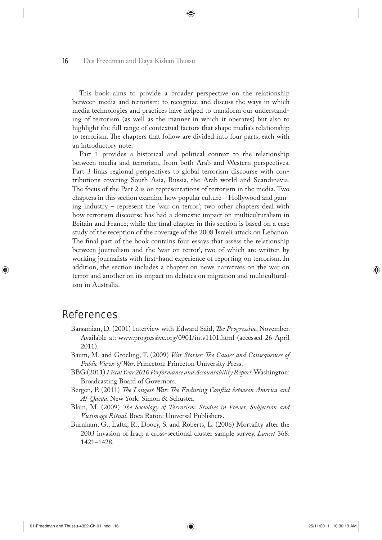This book aims to provide a broader perspective on the relationship between media and terrorism: to recognize and discuss the ways in which media technologies and practices have helped to transform our understanding of terrorism (as well as the manner in which it operates) but also to highlight the full range of contextual factors that shape media's relationship to terrorism. The chapters that follow are divided into four parts, each with an introductory note.

◈

Part 1 provides a historical and political context to the relationship between media and terrorism, from both Arab and Western perspectives. Part 3 links regional perspectives to global terrorism discourse with contributions covering South Asia, Russia, the Arab world and Scandinavia. The focus of the Part 2 is on representations of terrorism in the media. Two chapters in this section examine how popular culture – Hollywood and gaming industry – represent the 'war on terror'; two other chapters deal with how terrorism discourse has had a domestic impact on multiculturalism in Britain and France; while the final chapter in this section is based on a case study of the reception of the coverage of the 2008 Israeli attack on Lebanon. The final part of the book contains four essays that assess the relationship between journalism and the 'war on terror', two of which are written by working journalists with first-hand experience of reporting on terrorism. In addition, the section includes a chapter on news narratives on the war on terror and another on its impact on debates on migration and multiculturalism in Australia.

## References

- Barsamian, D. (2001) Interview with Edward Said, *The Progressive*, November. Available at: www.progressive.org/0901/intv1101.html (accessed 26 April 2011).
- Baum, M. and Groeling, T. (2009) *War Stories: The Causes and Consequences of Public Views of War*. Princeton: Princeton University Press.
- BBG (2011) *Fiscal Year 2010 Performance and Accountability Report*. Washington: Broadcasting Board of Governors.
- Bergen, P. (2011) *The Longest War: The Enduring Conflict between America and Al-Qaeda*. New York: Simon & Schuster.
- Blain, M. (2009) *The Sociology of Terrorism: Studies in Power, Subjection and Victimage Ritual*. Boca Raton: Universal Publishers.
- Burnham, G., Lafta, R., Doocy, S. and Roberts, L. (2006) Mortality after the 2003 invasion of Iraq: a cross-sectional cluster sample survey. *Lancet* 368: 1421–1428.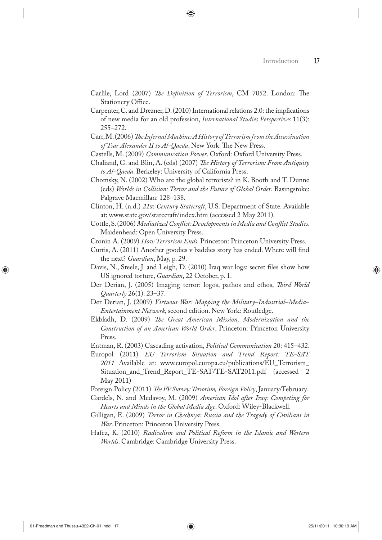Carlile, Lord (2007) *The Definition of Terrorism*, CM 7052. London: The Stationery Office.

⊕

- Carpenter, C. and Drezner, D. (2010) International relations 2.0: the implications of new media for an old profession, *International Studies Perspectives* 11(3): 255–272.
- Carr, M. (2006) *The Infernal Machine: A History of Terrorism from the Assassination of Tsar Alexander II to Al-Qaeda*. New York: The New Press.
- Castells, M. (2009) *Communication Power*. Oxford: Oxford University Press.
- Chaliand, G. and Blin, A. (eds) (2007) *The History of Terrorism: From Antiquity to Al-Qaeda*. Berkeley: University of California Press.
- Chomsky, N. (2002) Who are the global terrorists? in K. Booth and T. Dunne (eds) *Worlds in Collision: Terror and the Future of Global Order*. Basingstoke: Palgrave Macmillan: 128–138.
- Clinton, H. (n.d.) *21*st *Century Statecraft*, U.S. Department of State. Available at: www.state.gov/statecraft/index.htm (accessed 2 May 2011).
- Cottle, S. (2006) *Mediatized Conflict: Developments in Media and Conflict Studies*. Maidenhead: Open University Press.
- Cronin A. (2009) *How Terrorism Ends*. Princeton: Princeton University Press.
- Curtis, A. (2011) Another goodies v baddies story has ended. Where will find the next? *Guardian*, May, p. 29.
- Davis, N., Steele, J. and Leigh, D. (2010) Iraq war logs: secret files show how US ignored torture, *Guardian*, 22 October, p. 1.
- Der Derian, J. (2005) Imaging terror: logos, pathos and ethos, *Third World Quarterly* 26(1): 23–37.
- Der Derian, J. (2009) *Virtuous War: Mapping the Military*–*Industrial*–*Media Entertainment Network*, second edition. New York: Routledge.
- Ekbladh, D. (2009) *The Great American Mission, Modernization and the Construction of an American World Order*. Princeton: Princeton University Press.
- Entman, R. (2003) Cascading activation, *Political Communication* 20: 415–432.
- Europol (2011) *EU Terrorism Situation and Trend Report: TE-SAT 2011* Available at: www.europol.europa.eu/publications/EU\_Terrorism\_ Situation\_and\_Trend\_Report\_TE-SAT/TE-SAT2011.pdf (accessed 2 May 2011)
- Foreign Policy (2011) *The FP Survey: Terrorism, Foreign Policy*, January/February.
- Gardels, N. and Medavoy, M. (2009) *American Idol after Iraq: Competing for Hearts and Minds in the Global Media Age*. Oxford: Wiley-Blackwell.
- Gilligan, E. (2009) *Terror in Chechnya: Russia and the Tragedy of Civilians in War*. Princeton: Princeton University Press.
- Hafez, K. (2010) *Radicalism and Political Reform in the Islamic and Western Worlds*. Cambridge: Cambridge University Press.

◈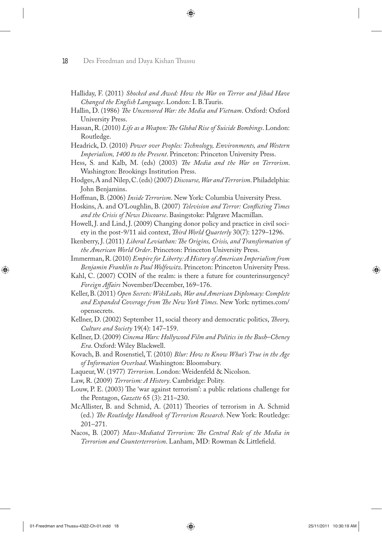Halliday, F. (2011) *Shocked and Awed: How the War on Terror and Jihad Have Changed the English Language*. London: I. B.Tauris.

⊕

- Hallin, D. (1986) *The Uncensored War: the Media and Vietnam*. Oxford: Oxford University Press.
- Hassan, R. (2010) *Life as a Weapon: The Global Rise of Suicide Bombings*. London: Routledge.
- Headrick, D. (2010) *Power over Peoples: Technology, Environments, and Western Imperialism, 1400 to the Present*. Princeton: Princeton University Press.
- Hess, S. and Kalb, M. (eds) (2003) *The Media and the War on Terrorism*. Washington: Brookings Institution Press.
- Hodges, A and Nilep, C. (eds) (2007) *Discourse, War and Terrorism*. Philadelphia: John Benjamins.
- Hoffman, B. (2006) *Inside Terrorism*. New York: Columbia University Press.
- Hoskins, A. and O'Loughlin, B. (2007) *Television and Terror: Conflicting Times and the Crisis of News Discourse*. Basingstoke: Palgrave Macmillan.
- Howell, J. and Lind, J. (2009) Changing donor policy and practice in civil society in the post-9/11 aid context, *Third World Quarterly* 30(7): 1279–1296.
- Ikenberry, J. (2011) *Liberal Leviathan: The Origins, Crisis, and Transformation of the American World Order*. Princeton: Princeton University Press.
- Immerman, R. (2010) *Empire for Liberty: A History of American Imperialism from Benjamin Franklin to Paul Wolfowitz*. Princeton: Princeton University Press.
- Kahl, C. (2007) COIN of the realm: is there a future for counterinsurgency? *Foreign Affairs* November/December, 169–176.
- Keller, B. (2011) *Open Secrets: WikiLeaks, War and American Diplomacy: Complete and Expanded Coverage from The New York Times*. New York: nytimes.com/ opensecrets.
- Kellner, D. (2002) September 11, social theory and democratic politics, *Theory, Culture and Society* 19(4): 147–159.
- Kellner, D. (2009) *Cinema Wars: Hollywood Film and Politics in the Bush*–*Cheney Era*. Oxford: Wiley Blackwell.
- Kovach, B. and Rosenstiel, T. (2010) *Blur: How to Know What's True in the Age of Information Overload*. Washington: Bloomsbury.
- Laqueur, W. (1977) *Terrorism*. London: Weidenfeld & Nicolson.
- Law, R. (2009) *Terrorism: A History*. Cambridge: Polity.
- Louw, P. E. (2003) The 'war against terrorism': a public relations challenge for the Pentagon, *Gazette* 65 (3): 211–230.
- McAllister, B. and Schmid, A. (2011) Theories of terrorism in A. Schmid (ed.) *The Routledge Handbook of Terrorism Research*. New York: Routledge: 201–271.
- Nacos, B. (2007) *Mass-Mediated Terrorism: The Central Role of the Media in Terrorism and Counterterrorism*. Lanham, MD: Rowman & Littlefield.

◈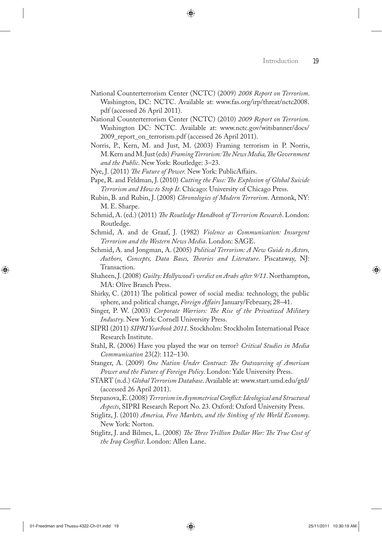- National Counterterrorism Center (NCTC) (2009) *2008 Report on Terrorism*. Washington, DC: NCTC. Available at: www.fas.org/irp/threat/nctc2008. pdf (accessed 26 April 2011).
- National Counterterrorism Center (NCTC) (2010) *2009 Report on Terrorism*. Washington DC: NCTC. Available at: www.nctc.gov/witsbanner/docs/ 2009\_report\_on\_terrorism.pdf (accessed 26 April 2011).
- Norris, P., Kern, M. and Just, M. (2003) Framing terrorism in P. Norris, M. Kern and M. Just (eds) *Framing Terrorism: The News Media, The Government and the Public*. New York: Routledge: 3–23.
- Nye, J. (2011) *The Future of Power.* New York: PublicAffairs.
- Pape, R. and Feldman, J. (2010) *Cutting the Fuse: The Explosion of Global Suicide Terrorism and How to Stop It*. Chicago: University of Chicago Press.
- Rubin, B. and Rubin, J. (2008) *Chronologies of Modern Terrorism*. Armonk, NY: M. E. Sharpe.
- Schmid, A. (ed.) (2011) *The Routledge Handbook of Terrorism Research*. London: Routledge.
- Schmid, A. and de Graaf, J. (1982) *Violence as Communication: Insurgent Terrorism and the Western News Media*. London: SAGE.
- Schmid, A. and Jongman, A. (2005) *Political Terrorism: A New Guide to Actors, Authors, Concepts, Data Bases, Theories and Literature*. Piscataway, NJ: Transaction.
- Shaheen, J. (2008) *Guilty: Hollywood's verdict on Arabs after 9/11*. Northampton, MA: Olive Branch Press.
- Shirky, C. (2011) The political power of social media: technology, the public sphere, and political change, *Foreign Affairs* January/February, 28–41.
- Singer, P. W. (2003) *Corporate Warriors: The Rise of the Privatized Military Industry*. New York: Cornell University Press.
- SIPRI (2011) *SIPRI Yearbook 2011*. Stockholm: Stockholm International Peace Research Institute.
- Stahl, R. (2006) Have you played the war on terror? *Critical Studies in Media Communication* 23(2): 112–130.
- Stanger, A. (2009) *One Nation Under Contract: The Outsourcing of American Power and the Future of Foreign Policy*. London: Yale University Press.
- START (n.d.) *Global Terrorism Database*. Available at: www.start.umd.edu/gtd/ (accessed 26 April 2011).
- Stepanova, E. (2008) *Terrorism in Asymmetrical Conflict: Ideological and Structural Aspects*, SIPRI Research Report No. 23. Oxford: Oxford University Press.
- Stiglitz, J. (2010) *America, Free Markets, and the Sinking of the World Economy*. New York: Norton.
- Stiglitz, J. and Bilmes, L. (2008) *The Three Trillion Dollar War: The True Cost of the Iraq Conflict*. London: Allen Lane.

◈